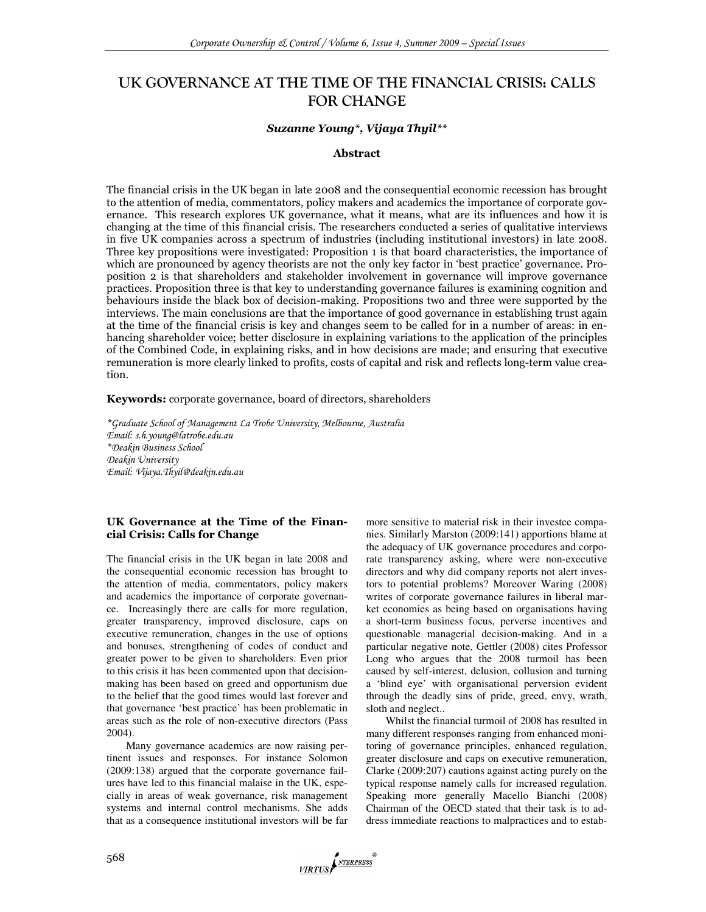# UK GOVERNANCE AT THE TIME OF THE FINANCIAL CRISIS: CALLS FOR CHANGE

#### Suzanne Young\*, Vijaya Thyil\*\*

#### Abstract

The financial crisis in the UK began in late 2008 and the consequential economic recession has brought to the attention of media, commentators, policy makers and academics the importance of corporate governance. This research explores UK governance, what it means, what are its influences and how it is changing at the time of this financial crisis. The researchers conducted a series of qualitative interviews in five UK companies across a spectrum of industries (including institutional investors) in late 2008. Three key propositions were investigated: Proposition 1 is that board characteristics, the importance of which are pronounced by agency theorists are not the only key factor in 'best practice' governance. Proposition 2 is that shareholders and stakeholder involvement in governance will improve governance practices. Proposition three is that key to understanding governance failures is examining cognition and behaviours inside the black box of decision-making. Propositions two and three were supported by the interviews. The main conclusions are that the importance of good governance in establishing trust again at the time of the financial crisis is key and changes seem to be called for in a number of areas: in enhancing shareholder voice; better disclosure in explaining variations to the application of the principles of the Combined Code, in explaining risks, and in how decisions are made; and ensuring that executive remuneration is more clearly linked to profits, costs of capital and risk and reflects long-term value creation.

Keywords: corporate governance, board of directors, shareholders

\*Graduate School of Management La Trobe University, Melbourne, Australia Email: s.h.young@latrobe.edu.au \*Deakin Business School Deakin University Email: Vijaya.Thyil@deakin.edu.au

# UK Governance at the Time of the Financial Crisis: Calls for Change

The financial crisis in the UK began in late 2008 and the consequential economic recession has brought to the attention of media, commentators, policy makers and academics the importance of corporate governance. Increasingly there are calls for more regulation, greater transparency, improved disclosure, caps on executive remuneration, changes in the use of options and bonuses, strengthening of codes of conduct and greater power to be given to shareholders. Even prior to this crisis it has been commented upon that decisionmaking has been based on greed and opportunism due to the belief that the good times would last forever and that governance 'best practice' has been problematic in areas such as the role of non-executive directors (Pass 2004).

Many governance academics are now raising pertinent issues and responses. For instance Solomon (2009:138) argued that the corporate governance failures have led to this financial malaise in the UK, especially in areas of weak governance, risk management systems and internal control mechanisms. She adds that as a consequence institutional investors will be far

more sensitive to material risk in their investee companies. Similarly Marston (2009:141) apportions blame at the adequacy of UK governance procedures and corporate transparency asking, where were non-executive directors and why did company reports not alert investors to potential problems? Moreover Waring (2008) writes of corporate governance failures in liberal market economies as being based on organisations having a short-term business focus, perverse incentives and questionable managerial decision-making. And in a particular negative note, Gettler (2008) cites Professor Long who argues that the 2008 turmoil has been caused by self-interest, delusion, collusion and turning a 'blind eye' with organisational perversion evident through the deadly sins of pride, greed, envy, wrath, sloth and neglect..

Whilst the financial turmoil of 2008 has resulted in many different responses ranging from enhanced monitoring of governance principles, enhanced regulation, greater disclosure and caps on executive remuneration, Clarke (2009:207) cautions against acting purely on the typical response namely calls for increased regulation. Speaking more generally Macello Bianchi (2008) Chairman of the OECD stated that their task is to address immediate reactions to malpractices and to estab-

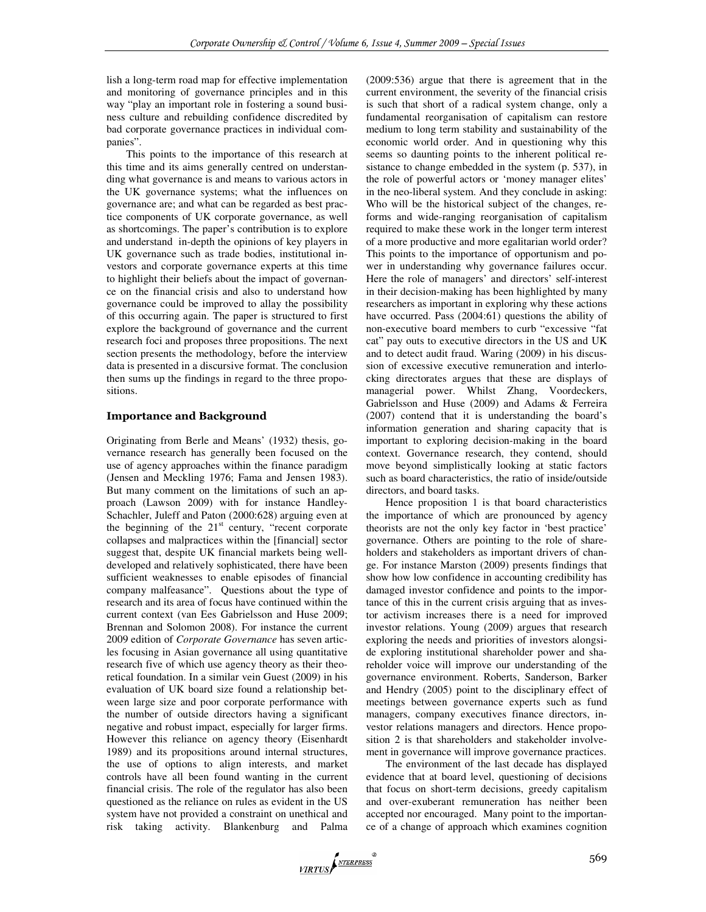lish a long-term road map for effective implementation and monitoring of governance principles and in this way "play an important role in fostering a sound business culture and rebuilding confidence discredited by bad corporate governance practices in individual companies".

This points to the importance of this research at this time and its aims generally centred on understanding what governance is and means to various actors in the UK governance systems; what the influences on governance are; and what can be regarded as best practice components of UK corporate governance, as well as shortcomings. The paper's contribution is to explore and understand in-depth the opinions of key players in UK governance such as trade bodies, institutional investors and corporate governance experts at this time to highlight their beliefs about the impact of governance on the financial crisis and also to understand how governance could be improved to allay the possibility of this occurring again. The paper is structured to first explore the background of governance and the current research foci and proposes three propositions. The next section presents the methodology, before the interview data is presented in a discursive format. The conclusion then sums up the findings in regard to the three propositions.

# Importance and Background

Originating from Berle and Means' (1932) thesis, governance research has generally been focused on the use of agency approaches within the finance paradigm (Jensen and Meckling 1976; Fama and Jensen 1983). But many comment on the limitations of such an approach (Lawson 2009) with for instance Handley-Schachler, Juleff and Paton (2000:628) arguing even at the beginning of the  $21<sup>st</sup>$  century, "recent corporate collapses and malpractices within the [financial] sector suggest that, despite UK financial markets being welldeveloped and relatively sophisticated, there have been sufficient weaknesses to enable episodes of financial company malfeasance". Questions about the type of research and its area of focus have continued within the current context (van Ees Gabrielsson and Huse 2009; Brennan and Solomon 2008). For instance the current 2009 edition of *Corporate Governance* has seven articles focusing in Asian governance all using quantitative research five of which use agency theory as their theoretical foundation. In a similar vein Guest (2009) in his evaluation of UK board size found a relationship between large size and poor corporate performance with the number of outside directors having a significant negative and robust impact, especially for larger firms. However this reliance on agency theory (Eisenhardt 1989) and its propositions around internal structures, the use of options to align interests, and market controls have all been found wanting in the current financial crisis. The role of the regulator has also been questioned as the reliance on rules as evident in the US system have not provided a constraint on unethical and risk taking activity. Blankenburg and Palma

(2009:536) argue that there is agreement that in the current environment, the severity of the financial crisis is such that short of a radical system change, only a fundamental reorganisation of capitalism can restore medium to long term stability and sustainability of the economic world order. And in questioning why this seems so daunting points to the inherent political resistance to change embedded in the system (p. 537), in the role of powerful actors or 'money manager elites' in the neo-liberal system. And they conclude in asking: Who will be the historical subject of the changes, reforms and wide-ranging reorganisation of capitalism required to make these work in the longer term interest of a more productive and more egalitarian world order? This points to the importance of opportunism and power in understanding why governance failures occur. Here the role of managers' and directors' self-interest in their decision-making has been highlighted by many researchers as important in exploring why these actions have occurred. Pass (2004:61) questions the ability of non-executive board members to curb "excessive "fat cat" pay outs to executive directors in the US and UK and to detect audit fraud. Waring (2009) in his discussion of excessive executive remuneration and interlocking directorates argues that these are displays of managerial power. Whilst Zhang, Voordeckers, Gabrielsson and Huse (2009) and Adams & Ferreira (2007) contend that it is understanding the board's information generation and sharing capacity that is important to exploring decision-making in the board context. Governance research, they contend, should move beyond simplistically looking at static factors such as board characteristics, the ratio of inside/outside directors, and board tasks.

Hence proposition 1 is that board characteristics the importance of which are pronounced by agency theorists are not the only key factor in 'best practice' governance. Others are pointing to the role of shareholders and stakeholders as important drivers of change. For instance Marston (2009) presents findings that show how low confidence in accounting credibility has damaged investor confidence and points to the importance of this in the current crisis arguing that as investor activism increases there is a need for improved investor relations. Young (2009) argues that research exploring the needs and priorities of investors alongside exploring institutional shareholder power and shareholder voice will improve our understanding of the governance environment. Roberts, Sanderson, Barker and Hendry (2005) point to the disciplinary effect of meetings between governance experts such as fund managers, company executives finance directors, investor relations managers and directors. Hence proposition 2 is that shareholders and stakeholder involvement in governance will improve governance practices.

The environment of the last decade has displayed evidence that at board level, questioning of decisions that focus on short-term decisions, greedy capitalism and over-exuberant remuneration has neither been accepted nor encouraged. Many point to the importance of a change of approach which examines cognition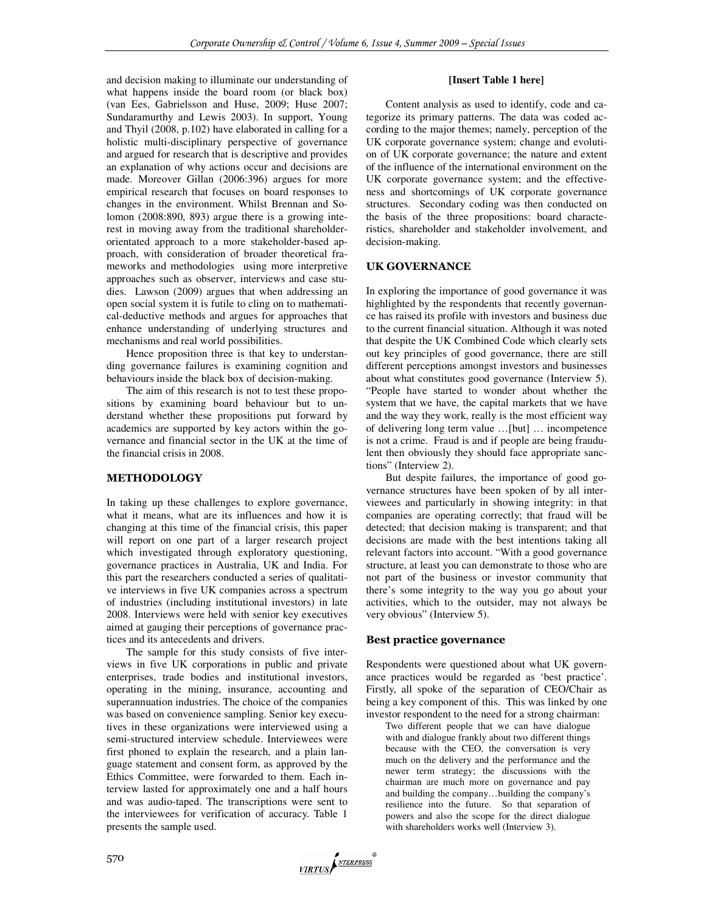and decision making to illuminate our understanding of what happens inside the board room (or black box) (van Ees, Gabrielsson and Huse, 2009; Huse 2007; Sundaramurthy and Lewis 2003). In support, Young and Thyil (2008, p.102) have elaborated in calling for a holistic multi-disciplinary perspective of governance and argued for research that is descriptive and provides an explanation of why actions occur and decisions are made. Moreover Gillan (2006:396) argues for more empirical research that focuses on board responses to changes in the environment. Whilst Brennan and Solomon (2008:890, 893) argue there is a growing interest in moving away from the traditional shareholderorientated approach to a more stakeholder-based approach, with consideration of broader theoretical frameworks and methodologies using more interpretive approaches such as observer, interviews and case studies. Lawson (2009) argues that when addressing an open social system it is futile to cling on to mathematical-deductive methods and argues for approaches that enhance understanding of underlying structures and mechanisms and real world possibilities.

Hence proposition three is that key to understanding governance failures is examining cognition and behaviours inside the black box of decision-making.

The aim of this research is not to test these propositions by examining board behaviour but to understand whether these propositions put forward by academics are supported by key actors within the governance and financial sector in the UK at the time of the financial crisis in 2008.

# **METHODOLOGY**

In taking up these challenges to explore governance, what it means, what are its influences and how it is changing at this time of the financial crisis, this paper will report on one part of a larger research project which investigated through exploratory questioning, governance practices in Australia, UK and India. For this part the researchers conducted a series of qualitative interviews in five UK companies across a spectrum of industries (including institutional investors) in late 2008. Interviews were held with senior key executives aimed at gauging their perceptions of governance practices and its antecedents and drivers.

The sample for this study consists of five interviews in five UK corporations in public and private enterprises, trade bodies and institutional investors, operating in the mining, insurance, accounting and superannuation industries. The choice of the companies was based on convenience sampling. Senior key executives in these organizations were interviewed using a semi-structured interview schedule. Interviewees were first phoned to explain the research, and a plain language statement and consent form, as approved by the Ethics Committee, were forwarded to them. Each interview lasted for approximately one and a half hours and was audio-taped. The transcriptions were sent to the interviewees for verification of accuracy. Table 1 presents the sample used.

#### **[Insert Table 1 here]**

Content analysis as used to identify, code and categorize its primary patterns. The data was coded according to the major themes; namely, perception of the UK corporate governance system; change and evolution of UK corporate governance; the nature and extent of the influence of the international environment on the UK corporate governance system; and the effectiveness and shortcomings of UK corporate governance structures. Secondary coding was then conducted on the basis of the three propositions: board characteristics, shareholder and stakeholder involvement, and decision-making.

# UK GOVERNANCE

In exploring the importance of good governance it was highlighted by the respondents that recently governance has raised its profile with investors and business due to the current financial situation. Although it was noted that despite the UK Combined Code which clearly sets out key principles of good governance, there are still different perceptions amongst investors and businesses about what constitutes good governance (Interview 5). "People have started to wonder about whether the system that we have, the capital markets that we have and the way they work, really is the most efficient way of delivering long term value …[but] … incompetence is not a crime. Fraud is and if people are being fraudulent then obviously they should face appropriate sanctions" (Interview 2).

But despite failures, the importance of good governance structures have been spoken of by all interviewees and particularly in showing integrity: in that companies are operating correctly; that fraud will be detected; that decision making is transparent; and that decisions are made with the best intentions taking all relevant factors into account. "With a good governance structure, at least you can demonstrate to those who are not part of the business or investor community that there's some integrity to the way you go about your activities, which to the outsider, may not always be very obvious" (Interview 5).

# Best practice governance

Respondents were questioned about what UK governance practices would be regarded as 'best practice'. Firstly, all spoke of the separation of CEO/Chair as being a key component of this. This was linked by one investor respondent to the need for a strong chairman:

Two different people that we can have dialogue with and dialogue frankly about two different things because with the CEO, the conversation is very much on the delivery and the performance and the newer term strategy; the discussions with the chairman are much more on governance and pay and building the company…building the company's resilience into the future. So that separation of powers and also the scope for the direct dialogue with shareholders works well (Interview 3).

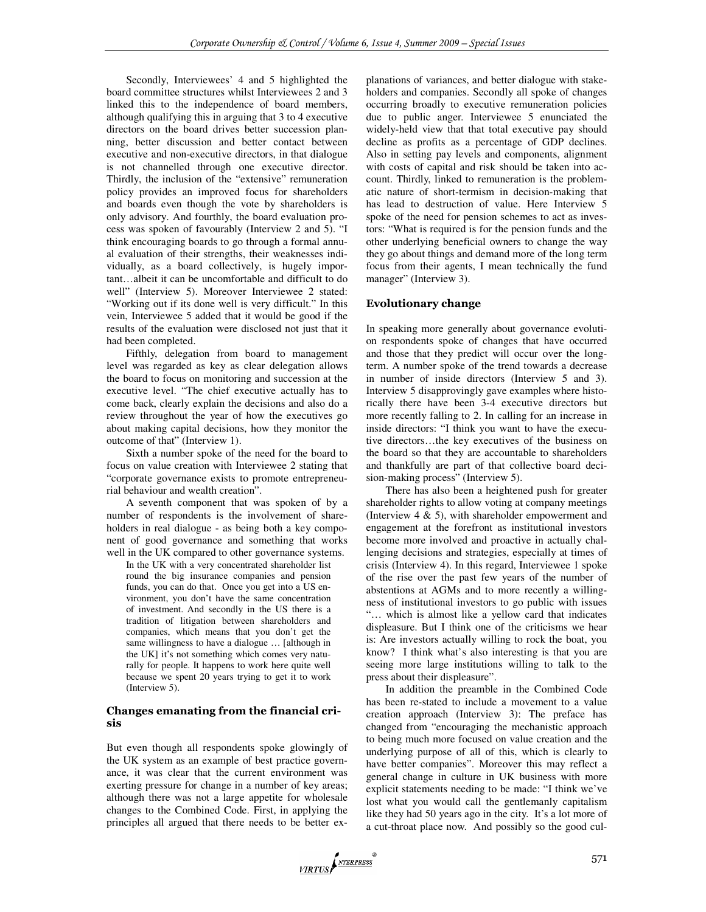Secondly, Interviewees' 4 and 5 highlighted the board committee structures whilst Interviewees 2 and 3 linked this to the independence of board members, although qualifying this in arguing that 3 to 4 executive directors on the board drives better succession planning, better discussion and better contact between executive and non-executive directors, in that dialogue is not channelled through one executive director. Thirdly, the inclusion of the "extensive" remuneration policy provides an improved focus for shareholders and boards even though the vote by shareholders is only advisory. And fourthly, the board evaluation process was spoken of favourably (Interview 2 and 5). "I think encouraging boards to go through a formal annual evaluation of their strengths, their weaknesses individually, as a board collectively, is hugely important…albeit it can be uncomfortable and difficult to do well" (Interview 5). Moreover Interviewee 2 stated: "Working out if its done well is very difficult." In this vein, Interviewee 5 added that it would be good if the results of the evaluation were disclosed not just that it had been completed.

Fifthly, delegation from board to management level was regarded as key as clear delegation allows the board to focus on monitoring and succession at the executive level. "The chief executive actually has to come back, clearly explain the decisions and also do a review throughout the year of how the executives go about making capital decisions, how they monitor the outcome of that" (Interview 1).

Sixth a number spoke of the need for the board to focus on value creation with Interviewee 2 stating that "corporate governance exists to promote entrepreneurial behaviour and wealth creation".

A seventh component that was spoken of by a number of respondents is the involvement of shareholders in real dialogue - as being both a key component of good governance and something that works well in the UK compared to other governance systems.

In the UK with a very concentrated shareholder list round the big insurance companies and pension funds, you can do that. Once you get into a US environment, you don't have the same concentration of investment. And secondly in the US there is a tradition of litigation between shareholders and companies, which means that you don't get the same willingness to have a dialogue … [although in the UK] it's not something which comes very naturally for people. It happens to work here quite well because we spent 20 years trying to get it to work (Interview 5).

# Changes emanating from the financial crisis

But even though all respondents spoke glowingly of the UK system as an example of best practice governance, it was clear that the current environment was exerting pressure for change in a number of key areas; although there was not a large appetite for wholesale changes to the Combined Code. First, in applying the principles all argued that there needs to be better ex-

planations of variances, and better dialogue with stakeholders and companies. Secondly all spoke of changes occurring broadly to executive remuneration policies due to public anger. Interviewee 5 enunciated the widely-held view that that total executive pay should decline as profits as a percentage of GDP declines. Also in setting pay levels and components, alignment with costs of capital and risk should be taken into account. Thirdly, linked to remuneration is the problematic nature of short-termism in decision-making that has lead to destruction of value. Here Interview 5 spoke of the need for pension schemes to act as investors: "What is required is for the pension funds and the other underlying beneficial owners to change the way they go about things and demand more of the long term focus from their agents, I mean technically the fund manager" (Interview 3).

# Evolutionary change

In speaking more generally about governance evolution respondents spoke of changes that have occurred and those that they predict will occur over the longterm. A number spoke of the trend towards a decrease in number of inside directors (Interview 5 and 3). Interview 5 disapprovingly gave examples where historically there have been 3-4 executive directors but more recently falling to 2. In calling for an increase in inside directors: "I think you want to have the executive directors…the key executives of the business on the board so that they are accountable to shareholders and thankfully are part of that collective board decision-making process" (Interview 5).

There has also been a heightened push for greater shareholder rights to allow voting at company meetings (Interview 4 & 5), with shareholder empowerment and engagement at the forefront as institutional investors become more involved and proactive in actually challenging decisions and strategies, especially at times of crisis (Interview 4). In this regard, Interviewee 1 spoke of the rise over the past few years of the number of abstentions at AGMs and to more recently a willingness of institutional investors to go public with issues "… which is almost like a yellow card that indicates displeasure. But I think one of the criticisms we hear is: Are investors actually willing to rock the boat, you know? I think what's also interesting is that you are seeing more large institutions willing to talk to the press about their displeasure".

In addition the preamble in the Combined Code has been re-stated to include a movement to a value creation approach (Interview 3): The preface has changed from "encouraging the mechanistic approach to being much more focused on value creation and the underlying purpose of all of this, which is clearly to have better companies". Moreover this may reflect a general change in culture in UK business with more explicit statements needing to be made: "I think we've lost what you would call the gentlemanly capitalism like they had 50 years ago in the city. It's a lot more of a cut-throat place now. And possibly so the good cul-

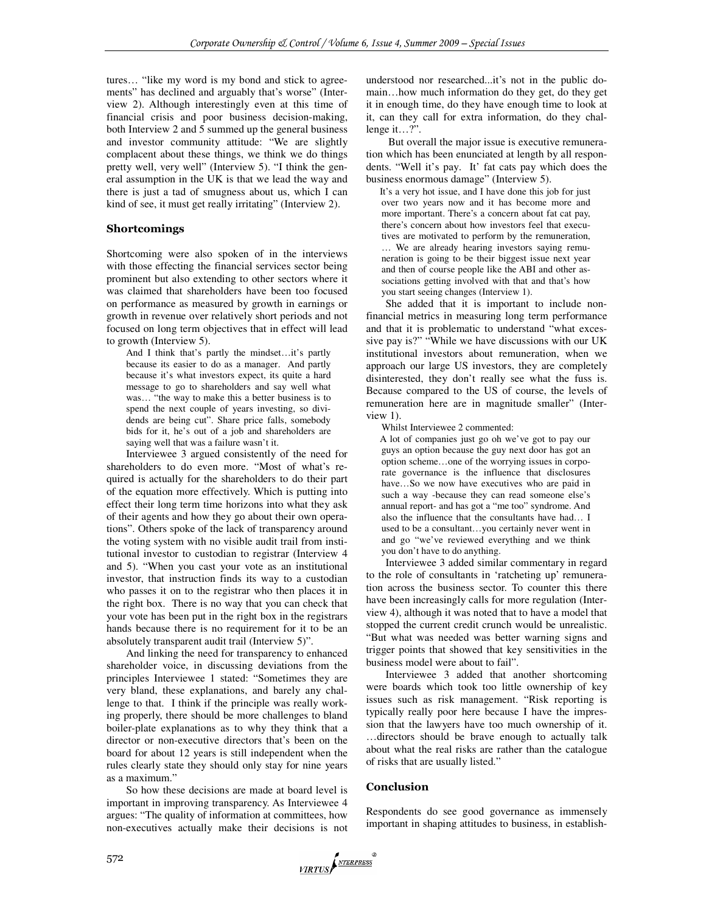tures… "like my word is my bond and stick to agreements" has declined and arguably that's worse" (Interview 2). Although interestingly even at this time of financial crisis and poor business decision-making, both Interview 2 and 5 summed up the general business and investor community attitude: "We are slightly complacent about these things, we think we do things pretty well, very well" (Interview 5). "I think the general assumption in the UK is that we lead the way and there is just a tad of smugness about us, which I can kind of see, it must get really irritating" (Interview 2).

# Shortcomings

Shortcoming were also spoken of in the interviews with those effecting the financial services sector being prominent but also extending to other sectors where it was claimed that shareholders have been too focused on performance as measured by growth in earnings or growth in revenue over relatively short periods and not focused on long term objectives that in effect will lead to growth (Interview 5).

And I think that's partly the mindset…it's partly because its easier to do as a manager. And partly because it's what investors expect, its quite a hard message to go to shareholders and say well what was… "the way to make this a better business is to spend the next couple of years investing, so dividends are being cut". Share price falls, somebody bids for it, he's out of a job and shareholders are saying well that was a failure wasn't it.

Interviewee 3 argued consistently of the need for shareholders to do even more. "Most of what's required is actually for the shareholders to do their part of the equation more effectively. Which is putting into effect their long term time horizons into what they ask of their agents and how they go about their own operations". Others spoke of the lack of transparency around the voting system with no visible audit trail from institutional investor to custodian to registrar (Interview 4 and 5). "When you cast your vote as an institutional investor, that instruction finds its way to a custodian who passes it on to the registrar who then places it in the right box. There is no way that you can check that your vote has been put in the right box in the registrars hands because there is no requirement for it to be an absolutely transparent audit trail (Interview 5)".

And linking the need for transparency to enhanced shareholder voice, in discussing deviations from the principles Interviewee 1 stated: "Sometimes they are very bland, these explanations, and barely any challenge to that. I think if the principle was really working properly, there should be more challenges to bland boiler-plate explanations as to why they think that a director or non-executive directors that's been on the board for about 12 years is still independent when the rules clearly state they should only stay for nine years as a maximum."

So how these decisions are made at board level is important in improving transparency. As Interviewee 4 argues: "The quality of information at committees, how non-executives actually make their decisions is not

understood nor researched...it's not in the public domain…how much information do they get, do they get it in enough time, do they have enough time to look at it, can they call for extra information, do they challenge it…?".

 But overall the major issue is executive remuneration which has been enunciated at length by all respondents. "Well it's pay. It' fat cats pay which does the business enormous damage" (Interview 5).

It's a very hot issue, and I have done this job for just over two years now and it has become more and more important. There's a concern about fat cat pay, there's concern about how investors feel that executives are motivated to perform by the remuneration, … We are already hearing investors saying remuneration is going to be their biggest issue next year and then of course people like the ABI and other associations getting involved with that and that's how you start seeing changes (Interview 1).

She added that it is important to include nonfinancial metrics in measuring long term performance and that it is problematic to understand "what excessive pay is?" "While we have discussions with our UK institutional investors about remuneration, when we approach our large US investors, they are completely disinterested, they don't really see what the fuss is. Because compared to the US of course, the levels of remuneration here are in magnitude smaller" (Interview 1).

Whilst Interviewee 2 commented:

A lot of companies just go oh we've got to pay our guys an option because the guy next door has got an option scheme…one of the worrying issues in corporate governance is the influence that disclosures have...So we now have executives who are paid in such a way -because they can read someone else's annual report- and has got a "me too" syndrome. And also the influence that the consultants have had… I used to be a consultant…you certainly never went in and go "we've reviewed everything and we think you don't have to do anything.

Interviewee 3 added similar commentary in regard to the role of consultants in 'ratcheting up' remuneration across the business sector. To counter this there have been increasingly calls for more regulation (Interview 4), although it was noted that to have a model that stopped the current credit crunch would be unrealistic. "But what was needed was better warning signs and trigger points that showed that key sensitivities in the business model were about to fail".

Interviewee 3 added that another shortcoming were boards which took too little ownership of key issues such as risk management. "Risk reporting is typically really poor here because I have the impression that the lawyers have too much ownership of it. …directors should be brave enough to actually talk about what the real risks are rather than the catalogue of risks that are usually listed."

# **Conclusion**

Respondents do see good governance as immensely important in shaping attitudes to business, in establish-

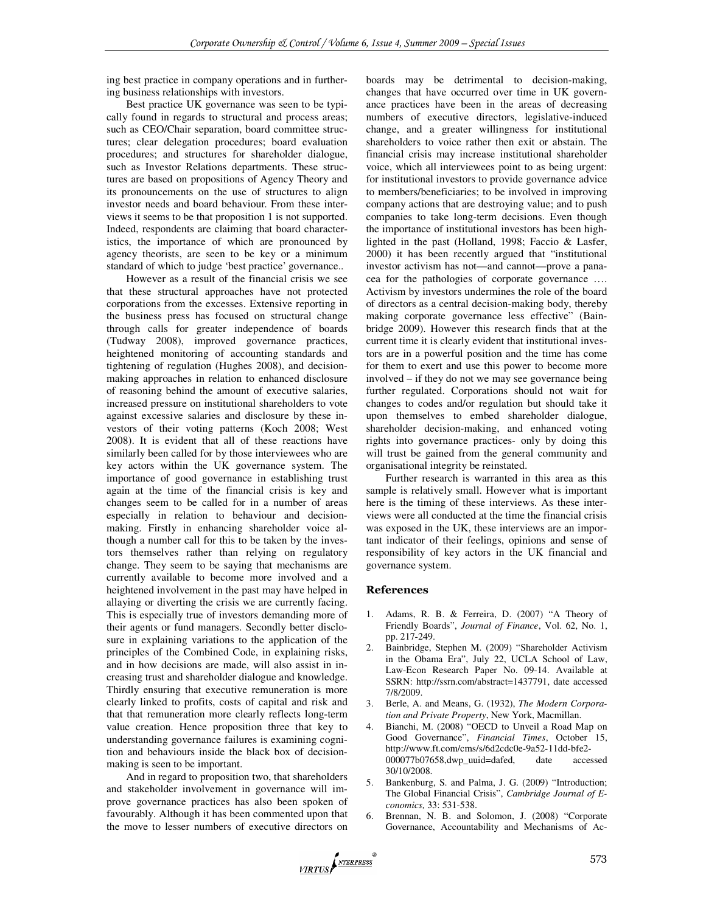ing best practice in company operations and in furthering business relationships with investors.

Best practice UK governance was seen to be typically found in regards to structural and process areas; such as CEO/Chair separation, board committee structures; clear delegation procedures; board evaluation procedures; and structures for shareholder dialogue, such as Investor Relations departments. These structures are based on propositions of Agency Theory and its pronouncements on the use of structures to align investor needs and board behaviour. From these interviews it seems to be that proposition 1 is not supported. Indeed, respondents are claiming that board characteristics, the importance of which are pronounced by agency theorists, are seen to be key or a minimum standard of which to judge 'best practice' governance..

However as a result of the financial crisis we see that these structural approaches have not protected corporations from the excesses. Extensive reporting in the business press has focused on structural change through calls for greater independence of boards (Tudway 2008), improved governance practices, heightened monitoring of accounting standards and tightening of regulation (Hughes 2008), and decisionmaking approaches in relation to enhanced disclosure of reasoning behind the amount of executive salaries, increased pressure on institutional shareholders to vote against excessive salaries and disclosure by these investors of their voting patterns (Koch 2008; West 2008). It is evident that all of these reactions have similarly been called for by those interviewees who are key actors within the UK governance system. The importance of good governance in establishing trust again at the time of the financial crisis is key and changes seem to be called for in a number of areas especially in relation to behaviour and decisionmaking. Firstly in enhancing shareholder voice although a number call for this to be taken by the investors themselves rather than relying on regulatory change. They seem to be saying that mechanisms are currently available to become more involved and a heightened involvement in the past may have helped in allaying or diverting the crisis we are currently facing. This is especially true of investors demanding more of their agents or fund managers. Secondly better disclosure in explaining variations to the application of the principles of the Combined Code, in explaining risks, and in how decisions are made, will also assist in increasing trust and shareholder dialogue and knowledge. Thirdly ensuring that executive remuneration is more clearly linked to profits, costs of capital and risk and that that remuneration more clearly reflects long-term value creation. Hence proposition three that key to understanding governance failures is examining cognition and behaviours inside the black box of decisionmaking is seen to be important.

And in regard to proposition two, that shareholders and stakeholder involvement in governance will improve governance practices has also been spoken of favourably. Although it has been commented upon that the move to lesser numbers of executive directors on

boards may be detrimental to decision-making, changes that have occurred over time in UK governance practices have been in the areas of decreasing numbers of executive directors, legislative-induced change, and a greater willingness for institutional shareholders to voice rather then exit or abstain. The financial crisis may increase institutional shareholder voice, which all interviewees point to as being urgent: for institutional investors to provide governance advice to members/beneficiaries; to be involved in improving company actions that are destroying value; and to push companies to take long-term decisions. Even though the importance of institutional investors has been highlighted in the past (Holland, 1998; Faccio & Lasfer, 2000) it has been recently argued that "institutional investor activism has not—and cannot—prove a panacea for the pathologies of corporate governance …. Activism by investors undermines the role of the board of directors as a central decision-making body, thereby making corporate governance less effective" (Bainbridge 2009). However this research finds that at the current time it is clearly evident that institutional investors are in a powerful position and the time has come for them to exert and use this power to become more involved – if they do not we may see governance being further regulated. Corporations should not wait for changes to codes and/or regulation but should take it upon themselves to embed shareholder dialogue, shareholder decision-making, and enhanced voting rights into governance practices- only by doing this will trust be gained from the general community and organisational integrity be reinstated.

Further research is warranted in this area as this sample is relatively small. However what is important here is the timing of these interviews. As these interviews were all conducted at the time the financial crisis was exposed in the UK, these interviews are an important indicator of their feelings, opinions and sense of responsibility of key actors in the UK financial and governance system.

#### References

- 1. Adams, R. B. & Ferreira, D. (2007) "A Theory of Friendly Boards", *Journal of Finance*, Vol. 62, No. 1, pp. 217-249.
- Bainbridge, Stephen M. (2009) "Shareholder Activism in the Obama Era", July 22, UCLA School of Law, Law-Econ Research Paper No. 09-14. Available at SSRN: http://ssrn.com/abstract=1437791, date accessed 7/8/2009.
- 3. Berle, A. and Means, G. (1932), *The Modern Corporation and Private Property*, New York, Macmillan.
- 4. Bianchi, M. (2008) "OECD to Unveil a Road Map on Good Governance", *Financial Times*, October 15, http://www.ft.com/cms/s/6d2cdc0e-9a52-11dd-bfe2- 000077b07658,dwp\_uuid=dafed, date accessed 30/10/2008.
- 5. Bankenburg, S. and Palma, J. G. (2009) "Introduction; The Global Financial Crisis", *Cambridge Journal of Economics,* 33: 531-538.
- 6. Brennan, N. B. and Solomon, J. (2008) "Corporate Governance, Accountability and Mechanisms of Ac-